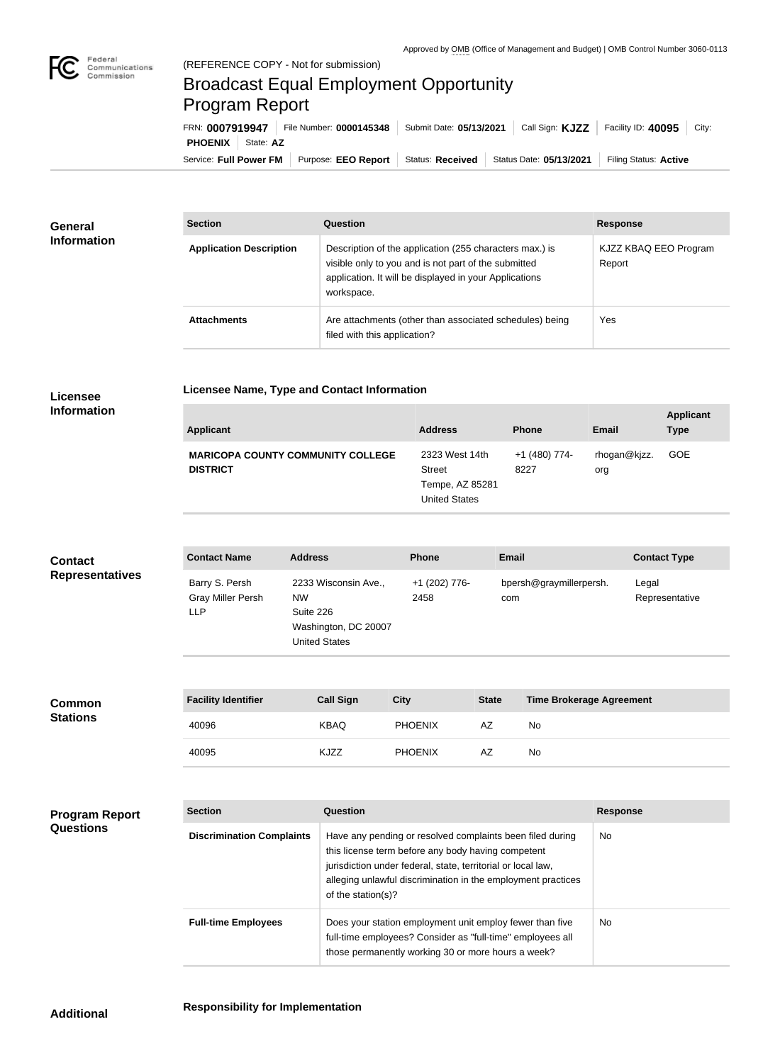

**COL** 

## Broadcast Equal Employment Opportunity Program Report

**Licensee Name, Type and Contact Information**

| FRN: 0007919947            | File Number: 0000145348 | Submit Date: 05/13/2021 | Call Sign: <b>KJZZ</b>  | Facility ID: 40095<br>City: |
|----------------------------|-------------------------|-------------------------|-------------------------|-----------------------------|
| <b>PHOENIX</b>   State: AZ |                         |                         |                         |                             |
| Service: Full Power FM     | Purpose: EEO Report     | Status: Received        | Status Date: 05/13/2021 | Filing Status: Active       |

| <b>General</b>     | <b>Section</b>                 | Question                                                                                                                                                                                | <b>Response</b>                 |
|--------------------|--------------------------------|-----------------------------------------------------------------------------------------------------------------------------------------------------------------------------------------|---------------------------------|
| <b>Information</b> | <b>Application Description</b> | Description of the application (255 characters max.) is<br>visible only to you and is not part of the submitted<br>application. It will be displayed in your Applications<br>workspace. | KJZZ KBAQ EEO Program<br>Report |
|                    | <b>Attachments</b>             | Are attachments (other than associated schedules) being<br>filed with this application?                                                                                                 | Yes                             |

## **Licensee Information**

| <b>Applicant</b>                                            | <b>Address</b>                                                      | <b>Phone</b>          | <b>Email</b>        | <b>Applicant</b><br><b>Type</b> |
|-------------------------------------------------------------|---------------------------------------------------------------------|-----------------------|---------------------|---------------------------------|
| <b>MARICOPA COUNTY COMMUNITY COLLEGE</b><br><b>DISTRICT</b> | 2323 West 14th<br>Street<br>Tempe, AZ 85281<br><b>United States</b> | +1 (480) 774-<br>8227 | rhogan@kjzz.<br>org | <b>GOE</b>                      |

| <b>Contact</b>         | <b>Contact Name</b>                         | <b>Address</b>                                                                                 | <b>Phone</b>          | <b>Email</b>                   | <b>Contact Type</b>     |
|------------------------|---------------------------------------------|------------------------------------------------------------------------------------------------|-----------------------|--------------------------------|-------------------------|
| <b>Representatives</b> | Barry S. Persh<br>Gray Miller Persh<br>LLP. | 2233 Wisconsin Ave.,<br><b>NW</b><br>Suite 226<br>Washington, DC 20007<br><b>United States</b> | +1 (202) 776-<br>2458 | bpersh@graymillerpersh.<br>com | Legal<br>Representative |

| <b>Common</b>   | <b>Facility Identifier</b> | <b>Call Sign</b> | <b>City</b>    | <b>State</b> | <b>Time Brokerage Agreement</b> |
|-----------------|----------------------------|------------------|----------------|--------------|---------------------------------|
| <b>Stations</b> | 40096                      | <b>KBAQ</b>      | <b>PHOENIX</b> | AZ           | No.                             |
|                 | 40095                      | KJZZ             | <b>PHOENIX</b> | AZ           | No                              |

| <b>Program Report</b> |
|-----------------------|
| <b>Questions</b>      |

| <b>Section</b>                   | Question                                                                                                                                                                                                                                                              | <b>Response</b> |
|----------------------------------|-----------------------------------------------------------------------------------------------------------------------------------------------------------------------------------------------------------------------------------------------------------------------|-----------------|
| <b>Discrimination Complaints</b> | Have any pending or resolved complaints been filed during<br>this license term before any body having competent<br>jurisdiction under federal, state, territorial or local law,<br>alleging unlawful discrimination in the employment practices<br>of the station(s)? | No.             |
| <b>Full-time Employees</b>       | Does your station employment unit employ fewer than five<br>full-time employees? Consider as "full-time" employees all<br>those permanently working 30 or more hours a week?                                                                                          | N <sub>o</sub>  |